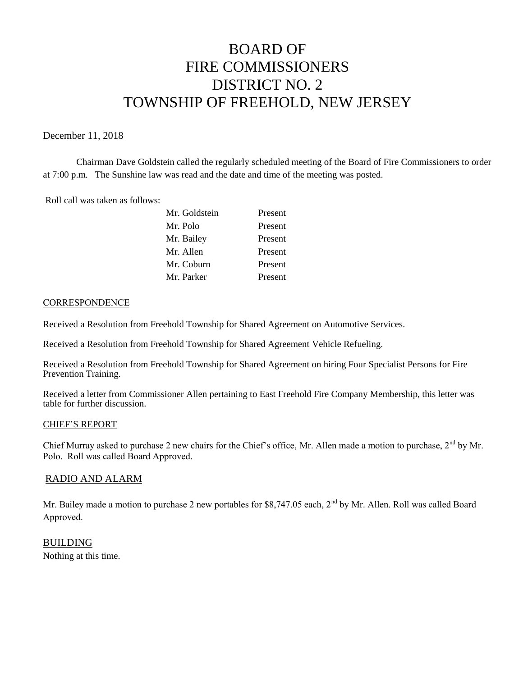# BOARD OF FIRE COMMISSIONERS DISTRICT NO. 2 TOWNSHIP OF FREEHOLD, NEW JERSEY

## December 11, 2018

Chairman Dave Goldstein called the regularly scheduled meeting of the Board of Fire Commissioners to order at 7:00 p.m. The Sunshine law was read and the date and time of the meeting was posted.

Roll call was taken as follows:

| Mr. Goldstein | Present |
|---------------|---------|
| Mr. Polo      | Present |
| Mr. Bailey    | Present |
| Mr. Allen     | Present |
| Mr. Coburn    | Present |
| Mr. Parker    | Present |

### **CORRESPONDENCE**

Received a Resolution from Freehold Township for Shared Agreement on Automotive Services.

Received a Resolution from Freehold Township for Shared Agreement Vehicle Refueling.

Received a Resolution from Freehold Township for Shared Agreement on hiring Four Specialist Persons for Fire Prevention Training.

Received a letter from Commissioner Allen pertaining to East Freehold Fire Company Membership, this letter was table for further discussion.

## CHIEF'S REPORT

Chief Murray asked to purchase 2 new chairs for the Chief's office, Mr. Allen made a motion to purchase, 2<sup>nd</sup> by Mr. Polo. Roll was called Board Approved.

# RADIO AND ALARM

Mr. Bailey made a motion to purchase 2 new portables for \$8,747.05 each, 2<sup>nd</sup> by Mr. Allen. Roll was called Board Approved.

BUILDING Nothing at this time.